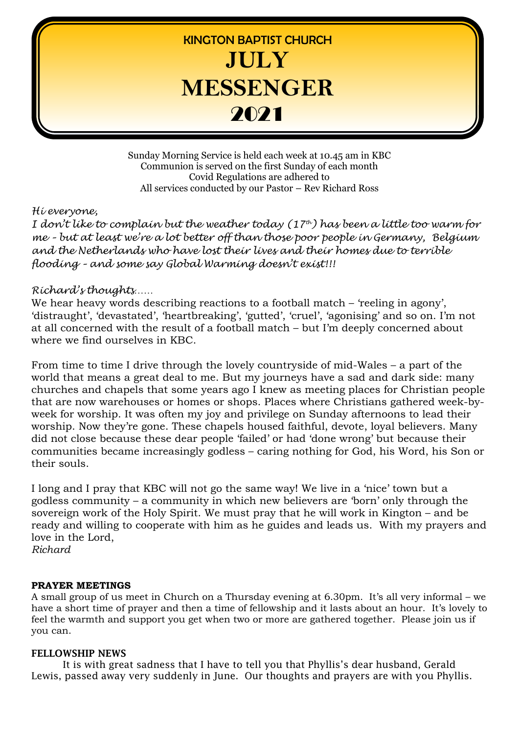

Sunday Morning Service is held each week at 10.45 am in KBC Communion is served on the first Sunday of each month Covid Regulations are adhered to All services conducted by our Pastor – Rev Richard Ross

#### *Hi everyone,*

*I don't like to complain but the weather today (17th) has been a little too warm for me – but at least we're a lot better off than those poor people in Germany, Belgium and the Netherlands who have lost their lives and their homes due to terrible flooding – and some say Global Warming doesn't exist!!!* 

## *Richard's thoughts……*

We hear heavy words describing reactions to a football match – 'reeling in agony', 'distraught', 'devastated', 'heartbreaking', 'gutted', 'cruel', 'agonising' and so on. I'm not at all concerned with the result of a football match – but I'm deeply concerned about where we find ourselves in KBC.

From time to time I drive through the lovely countryside of mid-Wales – a part of the world that means a great deal to me. But my journeys have a sad and dark side: many churches and chapels that some years ago I knew as meeting places for Christian people that are now warehouses or homes or shops. Places where Christians gathered week-byweek for worship. It was often my joy and privilege on Sunday afternoons to lead their worship. Now they're gone. These chapels housed faithful, devote, loyal believers. Many did not close because these dear people 'failed' or had 'done wrong' but because their communities became increasingly godless – caring nothing for God, his Word, his Son or their souls.

I long and I pray that KBC will not go the same way! We live in a 'nice' town but a godless community – a community in which new believers are 'born' only through the sovereign work of the Holy Spirit. We must pray that he will work in Kington – and be ready and willing to cooperate with him as he guides and leads us. With my prayers and love in the Lord, *Richard*

#### **PRAYER MEETINGS**

A small group of us meet in Church on a Thursday evening at 6.30pm. It's all very informal – we have a short time of prayer and then a time of fellowship and it lasts about an hour. It's lovely to feel the warmth and support you get when two or more are gathered together. Please join us if you can.

#### **FELLOWSHIP NEWS**

It is with great sadness that I have to tell you that Phyllis's dear husband, Gerald Lewis, passed away very suddenly in June. Our thoughts and prayers are with you Phyllis.